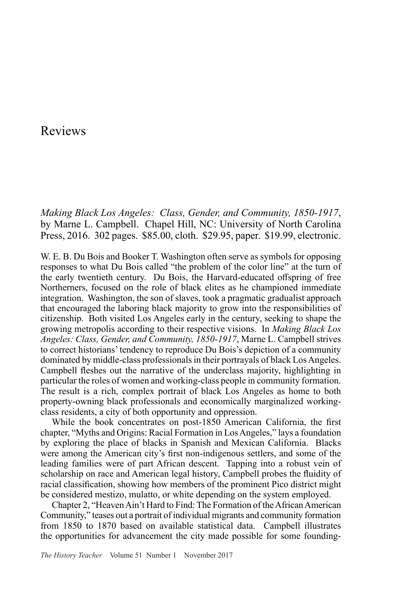## Reviews

*Making Black Los Angeles: Class, Gender, and Community, 1850-1917*, by Marne L. Campbell. Chapel Hill, NC: University of North Carolina Press, 2016. 302 pages. \$85.00, cloth. \$29.95, paper. \$19.99, electronic.

W. E. B. Du Bois and Booker T. Washington often serve as symbols for opposing responses to what Du Bois called "the problem of the color line" at the turn of the early twentieth century. Du Bois, the Harvard-educated offspring of free Northerners, focused on the role of black elites as he championed immediate integration. Washington, the son of slaves, took a pragmatic gradualist approach that encouraged the laboring black majority to grow into the responsibilities of citizenship. Both visited Los Angeles early in the century, seeking to shape the growing metropolis according to their respective visions. In *Making Black Los Angeles: Class, Gender, and Community, 1850-1917*, Marne L. Campbell strives to correct historians' tendency to reproduce Du Bois's depiction of a community dominated by middle-class professionals in their portrayals of black Los Angeles. Campbell fleshes out the narrative of the underclass majority, highlighting in particular the roles of women and working-class people in community formation. The result is a rich, complex portrait of black Los Angeles as home to both property-owning black professionals and economically marginalized workingclass residents, a city of both opportunity and oppression.

While the book concentrates on post-1850 American California, the first chapter, "Myths and Origins: Racial Formation in Los Angeles," lays a foundation by exploring the place of blacks in Spanish and Mexican California. Blacks were among the American city's first non-indigenous settlers, and some of the leading families were of part African descent. Tapping into a robust vein of scholarship on race and American legal history, Campbell probes the fluidity of racial classification, showing how members of the prominent Pico district might be considered mestizo, mulatto, or white depending on the system employed.

Chapter 2, "Heaven Ain't Hard to Find: The Formation of the African American Community," teases out a portrait of individual migrants and community formation from 1850 to 1870 based on available statistical data. Campbell illustrates the opportunities for advancement the city made possible for some founding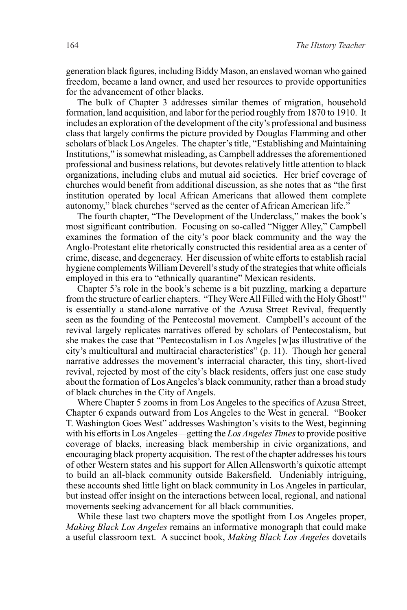generation black figures, including Biddy Mason, an enslaved woman who gained freedom, became a land owner, and used her resources to provide opportunities for the advancement of other blacks.

The bulk of Chapter 3 addresses similar themes of migration, household formation, land acquisition, and labor for the period roughly from 1870 to 1910. It includes an exploration of the development of the city's professional and business class that largely confirms the picture provided by Douglas Flamming and other scholars of black Los Angeles. The chapter's title, "Establishing and Maintaining Institutions," is somewhat misleading, as Campbell addresses the aforementioned professional and business relations, but devotes relatively little attention to black organizations, including clubs and mutual aid societies. Her brief coverage of churches would benefit from additional discussion, as she notes that as "the first institution operated by local African Americans that allowed them complete autonomy," black churches "served as the center of African American life."

The fourth chapter, "The Development of the Underclass," makes the book's most significant contribution. Focusing on so-called "Nigger Alley," Campbell examines the formation of the city's poor black community and the way the Anglo-Protestant elite rhetorically constructed this residential area as a center of crime, disease, and degeneracy. Her discussion of white efforts to establish racial hygiene complements William Deverell's study of the strategies that white officials employed in this era to "ethnically quarantine" Mexican residents.

Chapter 5's role in the book's scheme is a bit puzzling, marking a departure from the structure of earlier chapters. "They Were All Filled with the Holy Ghost!" is essentially a stand-alone narrative of the Azusa Street Revival, frequently seen as the founding of the Pentecostal movement. Campbell's account of the revival largely replicates narratives offered by scholars of Pentecostalism, but she makes the case that "Pentecostalism in Los Angeles [w]as illustrative of the city's multicultural and multiracial characteristics" (p. 11). Though her general narrative addresses the movement's interracial character, this tiny, short-lived revival, rejected by most of the city's black residents, offers just one case study about the formation of Los Angeles's black community, rather than a broad study of black churches in the City of Angels.

Where Chapter 5 zooms in from Los Angeles to the specifics of Azusa Street, Chapter 6 expands outward from Los Angeles to the West in general. "Booker T. Washington Goes West" addresses Washington's visits to the West, beginning with his efforts in Los Angeles—getting the *Los Angeles Times* to provide positive coverage of blacks, increasing black membership in civic organizations, and encouraging black property acquisition. The rest of the chapter addresses his tours of other Western states and his support for Allen Allensworth's quixotic attempt to build an all-black community outside Bakersfield. Undeniably intriguing, these accounts shed little light on black community in Los Angeles in particular, but instead offer insight on the interactions between local, regional, and national movements seeking advancement for all black communities.

While these last two chapters move the spotlight from Los Angeles proper, *Making Black Los Angeles* remains an informative monograph that could make a useful classroom text. A succinct book, *Making Black Los Angeles* dovetails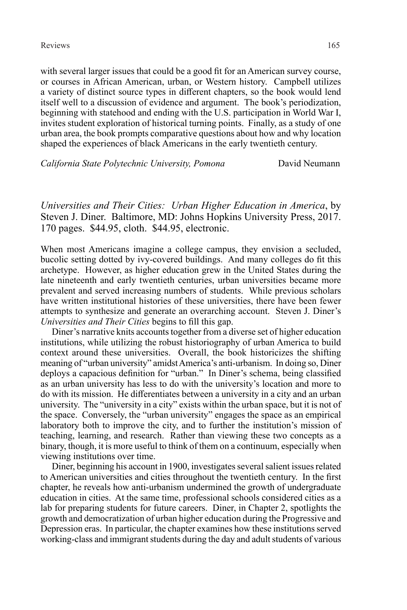with several larger issues that could be a good fit for an American survey course, or courses in African American, urban, or Western history. Campbell utilizes a variety of distinct source types in different chapters, so the book would lend itself well to a discussion of evidence and argument. The book's periodization, beginning with statehood and ending with the U.S. participation in World War I, invites student exploration of historical turning points. Finally, as a study of one urban area, the book prompts comparative questions about how and why location shaped the experiences of black Americans in the early twentieth century.

*California State Polytechnic University, Pomona* David Neumann

*Universities and Their Cities: Urban Higher Education in America*, by Steven J. Diner. Baltimore, MD: Johns Hopkins University Press, 2017. 170 pages. \$44.95, cloth. \$44.95, electronic.

When most Americans imagine a college campus, they envision a secluded, bucolic setting dotted by ivy-covered buildings. And many colleges do fit this archetype. However, as higher education grew in the United States during the late nineteenth and early twentieth centuries, urban universities became more prevalent and served increasing numbers of students. While previous scholars have written institutional histories of these universities, there have been fewer attempts to synthesize and generate an overarching account. Steven J. Diner's *Universities and Their Cities* begins to fill this gap.

Diner's narrative knits accounts together from a diverse set of higher education institutions, while utilizing the robust historiography of urban America to build context around these universities. Overall, the book historicizes the shifting meaning of "urban university" amidst America's anti-urbanism. In doing so, Diner deploys a capacious definition for "urban." In Diner's schema, being classified as an urban university has less to do with the university's location and more to do with its mission. He differentiates between a university in a city and an urban university. The "university in a city" exists within the urban space, but it is not of the space. Conversely, the "urban university" engages the space as an empirical laboratory both to improve the city, and to further the institution's mission of teaching, learning, and research. Rather than viewing these two concepts as a binary, though, it is more useful to think of them on a continuum, especially when viewing institutions over time.

Diner, beginning his account in 1900, investigates several salient issues related to American universities and cities throughout the twentieth century. In the first chapter, he reveals how anti-urbanism undermined the growth of undergraduate education in cities. At the same time, professional schools considered cities as a lab for preparing students for future careers. Diner, in Chapter 2, spotlights the growth and democratization of urban higher education during the Progressive and Depression eras. In particular, the chapter examines how these institutions served working-class and immigrant students during the day and adult students of various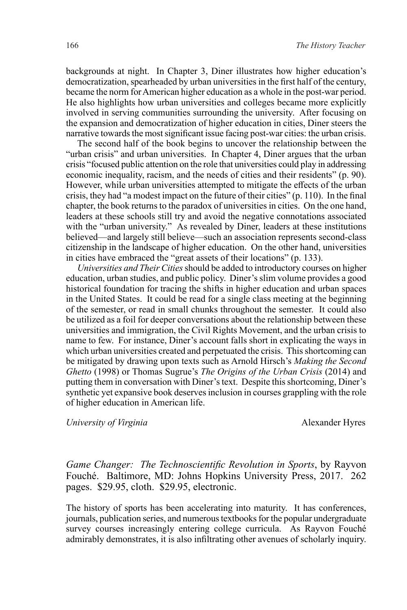backgrounds at night. In Chapter 3, Diner illustrates how higher education's democratization, spearheaded by urban universities in the first half of the century, became the norm for American higher education as a whole in the post-war period. He also highlights how urban universities and colleges became more explicitly involved in serving communities surrounding the university. After focusing on the expansion and democratization of higher education in cities, Diner steers the narrative towards the most significant issue facing post-war cities: the urban crisis.

The second half of the book begins to uncover the relationship between the "urban crisis" and urban universities. In Chapter 4, Diner argues that the urban crisis "focused public attention on the role that universities could play in addressing economic inequality, racism, and the needs of cities and their residents" (p. 90). However, while urban universities attempted to mitigate the effects of the urban crisis, they had "a modest impact on the future of their cities" (p. 110). In the final chapter, the book returns to the paradox of universities in cities. On the one hand, leaders at these schools still try and avoid the negative connotations associated with the "urban university." As revealed by Diner, leaders at these institutions believed—and largely still believe—such an association represents second-class citizenship in the landscape of higher education. On the other hand, universities in cities have embraced the "great assets of their locations" (p. 133).

*Universities and Their Cities* should be added to introductory courses on higher education, urban studies, and public policy. Diner's slim volume provides a good historical foundation for tracing the shifts in higher education and urban spaces in the United States. It could be read for a single class meeting at the beginning of the semester, or read in small chunks throughout the semester. It could also be utilized as a foil for deeper conversations about the relationship between these universities and immigration, the Civil Rights Movement, and the urban crisis to name to few. For instance, Diner's account falls short in explicating the ways in which urban universities created and perpetuated the crisis. This shortcoming can be mitigated by drawing upon texts such as Arnold Hirsch's *Making the Second Ghetto* (1998) or Thomas Sugrue's *The Origins of the Urban Crisis* (2014) and putting them in conversation with Diner's text. Despite this shortcoming, Diner's synthetic yet expansive book deserves inclusion in courses grappling with the role of higher education in American life.

*University of Virginia* Alexander Hyres

*Game Changer: The Technoscientific Revolution in Sports*, by Rayvon Fouché. Baltimore, MD: Johns Hopkins University Press, 2017. 262 pages. \$29.95, cloth. \$29.95, electronic.

The history of sports has been accelerating into maturity. It has conferences, journals, publication series, and numerous textbooks for the popular undergraduate survey courses increasingly entering college curricula. As Rayvon Fouché admirably demonstrates, it is also infiltrating other avenues of scholarly inquiry.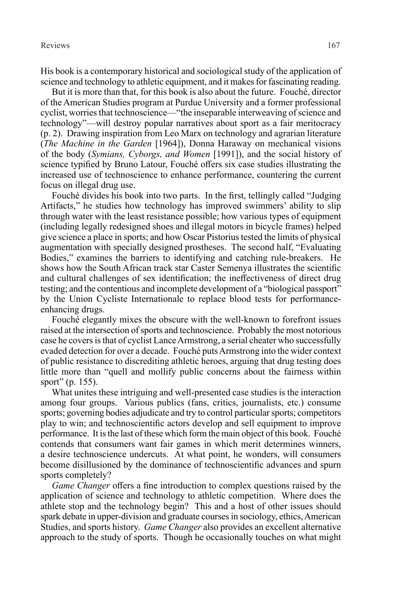His book is a contemporary historical and sociological study of the application of science and technology to athletic equipment, and it makes for fascinating reading.

But it is more than that, for this book is also about the future. Fouché, director of the American Studies program at Purdue University and a former professional cyclist, worries that technoscience—"the inseparable interweaving of science and technology"—will destroy popular narratives about sport as a fair meritocracy (p. 2). Drawing inspiration from Leo Marx on technology and agrarian literature (*The Machine in the Garden* [1964]), Donna Haraway on mechanical visions of the body (*Symians, Cyborgs, and Women* [1991]), and the social history of science typified by Bruno Latour, Fouché offers six case studies illustrating the increased use of technoscience to enhance performance, countering the current focus on illegal drug use.

Fouché divides his book into two parts. In the first, tellingly called "Judging Artifacts," he studies how technology has improved swimmers' ability to slip through water with the least resistance possible; how various types of equipment (including legally redesigned shoes and illegal motors in bicycle frames) helped give science a place in sports; and how Oscar Pistorius tested the limits of physical augmentation with specially designed prostheses. The second half, "Evaluating Bodies," examines the barriers to identifying and catching rule-breakers. He shows how the South African track star Caster Semenya illustrates the scientific and cultural challenges of sex identification; the ineffectiveness of direct drug testing; and the contentious and incomplete development of a "biological passport" by the Union Cycliste Internationale to replace blood tests for performanceenhancing drugs.

Fouché elegantly mixes the obscure with the well-known to forefront issues raised at the intersection of sports and technoscience. Probably the most notorious case he covers is that of cyclist Lance Armstrong, a serial cheater who successfully evaded detection for over a decade. Fouché puts Armstrong into the wider context of public resistance to discrediting athletic heroes, arguing that drug testing does little more than "quell and mollify public concerns about the fairness within sport" (p. 155).

What unites these intriguing and well-presented case studies is the interaction among four groups. Various publics (fans, critics, journalists, etc.) consume sports; governing bodies adjudicate and try to control particular sports; competitors play to win; and technoscientific actors develop and sell equipment to improve performance. It is the last of these which form the main object of this book. Fouché contends that consumers want fair games in which merit determines winners, a desire technoscience undercuts. At what point, he wonders, will consumers become disillusioned by the dominance of technoscientific advances and spurn sports completely?

*Game Changer* offers a fine introduction to complex questions raised by the application of science and technology to athletic competition. Where does the athlete stop and the technology begin? This and a host of other issues should spark debate in upper-division and graduate courses in sociology, ethics, American Studies, and sports history. *Game Changer* also provides an excellent alternative approach to the study of sports. Though he occasionally touches on what might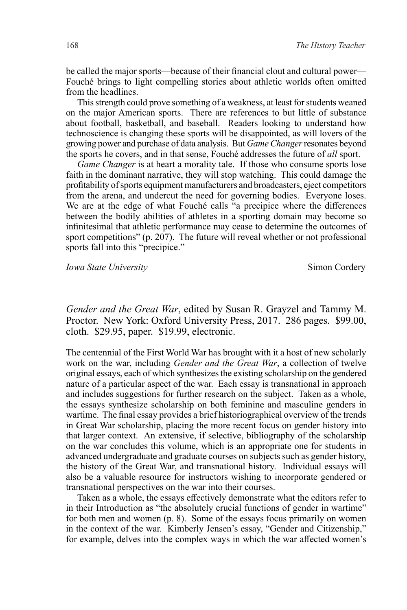be called the major sports—because of their financial clout and cultural power— Fouché brings to light compelling stories about athletic worlds often omitted from the headlines.

This strength could prove something of a weakness, at least for students weaned on the major American sports. There are references to but little of substance about football, basketball, and baseball. Readers looking to understand how technoscience is changing these sports will be disappointed, as will lovers of the growing power and purchase of data analysis. But *Game Changer* resonates beyond the sports he covers, and in that sense, Fouché addresses the future of *all* sport.

*Game Changer* is at heart a morality tale. If those who consume sports lose faith in the dominant narrative, they will stop watching. This could damage the profitability of sports equipment manufacturers and broadcasters, eject competitors from the arena, and undercut the need for governing bodies. Everyone loses. We are at the edge of what Fouché calls "a precipice where the differences between the bodily abilities of athletes in a sporting domain may become so infinitesimal that athletic performance may cease to determine the outcomes of sport competitions" (p. 207). The future will reveal whether or not professional sports fall into this "precipice."

*Iowa State University* Simon Cordery

*Gender and the Great War*, edited by Susan R. Grayzel and Tammy M. Proctor. New York: Oxford University Press, 2017. 286 pages. \$99.00, cloth. \$29.95, paper. \$19.99, electronic.

The centennial of the First World War has brought with it a host of new scholarly work on the war, including *Gender and the Great War*, a collection of twelve original essays, each of which synthesizes the existing scholarship on the gendered nature of a particular aspect of the war. Each essay is transnational in approach and includes suggestions for further research on the subject. Taken as a whole, the essays synthesize scholarship on both feminine and masculine genders in wartime. The final essay provides a brief historiographical overview of the trends in Great War scholarship, placing the more recent focus on gender history into that larger context. An extensive, if selective, bibliography of the scholarship on the war concludes this volume, which is an appropriate one for students in advanced undergraduate and graduate courses on subjects such as gender history, the history of the Great War, and transnational history. Individual essays will also be a valuable resource for instructors wishing to incorporate gendered or transnational perspectives on the war into their courses.

Taken as a whole, the essays effectively demonstrate what the editors refer to in their Introduction as "the absolutely crucial functions of gender in wartime" for both men and women (p. 8). Some of the essays focus primarily on women in the context of the war. Kimberly Jensen's essay, "Gender and Citizenship," for example, delves into the complex ways in which the war affected women's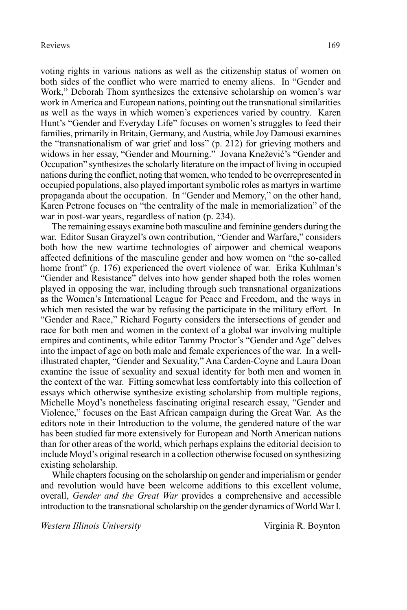voting rights in various nations as well as the citizenship status of women on both sides of the conflict who were married to enemy aliens. In "Gender and Work," Deborah Thom synthesizes the extensive scholarship on women's war work in America and European nations, pointing out the transnational similarities as well as the ways in which women's experiences varied by country. Karen Hunt's "Gender and Everyday Life" focuses on women's struggles to feed their families, primarily in Britain, Germany, and Austria, while Joy Damousi examines the "transnationalism of war grief and loss" (p. 212) for grieving mothers and widows in her essay, "Gender and Mourning." Jovana Knežević's "Gender and Occupation" synthesizes the scholarly literature on the impact of living in occupied nations during the conflict, noting that women, who tended to be overrepresented in occupied populations, also played important symbolic roles as martyrs in wartime propaganda about the occupation. In "Gender and Memory," on the other hand, Karen Petrone focuses on "the centrality of the male in memorialization" of the war in post-war years, regardless of nation (p. 234).

The remaining essays examine both masculine and feminine genders during the war. Editor Susan Grayzel's own contribution, "Gender and Warfare," considers both how the new wartime technologies of airpower and chemical weapons affected definitions of the masculine gender and how women on "the so-called home front" (p. 176) experienced the overt violence of war. Erika Kuhlman's "Gender and Resistance" delves into how gender shaped both the roles women played in opposing the war, including through such transnational organizations as the Women's International League for Peace and Freedom, and the ways in which men resisted the war by refusing the participate in the military effort. In "Gender and Race," Richard Fogarty considers the intersections of gender and race for both men and women in the context of a global war involving multiple empires and continents, while editor Tammy Proctor's "Gender and Age" delves into the impact of age on both male and female experiences of the war. In a wellillustrated chapter, "Gender and Sexuality," Ana Carden-Coyne and Laura Doan examine the issue of sexuality and sexual identity for both men and women in the context of the war. Fitting somewhat less comfortably into this collection of essays which otherwise synthesize existing scholarship from multiple regions, Michelle Moyd's nonetheless fascinating original research essay, "Gender and Violence," focuses on the East African campaign during the Great War. As the editors note in their Introduction to the volume, the gendered nature of the war has been studied far more extensively for European and North American nations than for other areas of the world, which perhaps explains the editorial decision to include Moyd's original research in a collection otherwise focused on synthesizing existing scholarship.

While chapters focusing on the scholarship on gender and imperialism or gender and revolution would have been welcome additions to this excellent volume, overall, *Gender and the Great War* provides a comprehensive and accessible introduction to the transnational scholarship on the gender dynamics of World War I.

*Western Illinois University* Virginia R. Boynton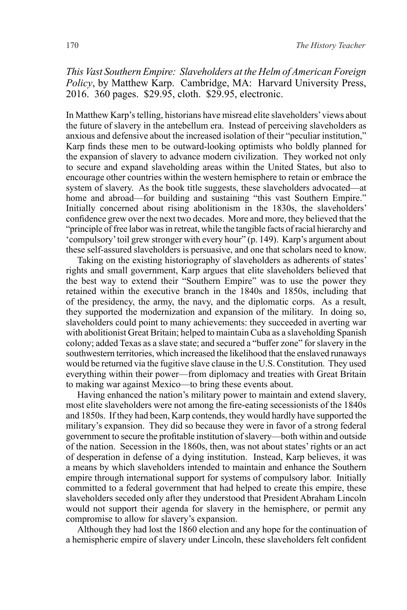*This Vast Southern Empire: Slaveholders at the Helm of American Foreign Policy*, by Matthew Karp. Cambridge, MA: Harvard University Press, 2016. 360 pages. \$29.95, cloth. \$29.95, electronic.

In Matthew Karp's telling, historians have misread elite slaveholders' views about the future of slavery in the antebellum era. Instead of perceiving slaveholders as anxious and defensive about the increased isolation of their "peculiar institution," Karp finds these men to be outward-looking optimists who boldly planned for the expansion of slavery to advance modern civilization. They worked not only to secure and expand slaveholding areas within the United States, but also to encourage other countries within the western hemisphere to retain or embrace the system of slavery. As the book title suggests, these slaveholders advocated—at home and abroad—for building and sustaining "this vast Southern Empire." Initially concerned about rising abolitionism in the 1830s, the slaveholders' confidence grew over the next two decades. More and more, they believed that the "principle of free labor was in retreat, while the tangible facts of racial hierarchy and 'compulsory' toil grew stronger with every hour" (p. 149). Karp's argument about these self-assured slaveholders is persuasive, and one that scholars need to know.

Taking on the existing historiography of slaveholders as adherents of states' rights and small government, Karp argues that elite slaveholders believed that the best way to extend their "Southern Empire" was to use the power they retained within the executive branch in the 1840s and 1850s, including that of the presidency, the army, the navy, and the diplomatic corps. As a result, they supported the modernization and expansion of the military. In doing so, slaveholders could point to many achievements: they succeeded in averting war with abolitionist Great Britain; helped to maintain Cuba as a slaveholding Spanish colony; added Texas as a slave state; and secured a "buffer zone" for slavery in the southwestern territories, which increased the likelihood that the enslaved runaways would be returned via the fugitive slave clause in the U.S. Constitution. They used everything within their power—from diplomacy and treaties with Great Britain to making war against Mexico—to bring these events about.

Having enhanced the nation's military power to maintain and extend slavery, most elite slaveholders were not among the fire-eating secessionists of the 1840s and 1850s. If they had been, Karp contends, they would hardly have supported the military's expansion. They did so because they were in favor of a strong federal government to secure the profitable institution of slavery—both within and outside of the nation. Secession in the 1860s, then, was not about states' rights or an act of desperation in defense of a dying institution. Instead, Karp believes, it was a means by which slaveholders intended to maintain and enhance the Southern empire through international support for systems of compulsory labor. Initially committed to a federal government that had helped to create this empire, these slaveholders seceded only after they understood that President Abraham Lincoln would not support their agenda for slavery in the hemisphere, or permit any compromise to allow for slavery's expansion.

Although they had lost the 1860 election and any hope for the continuation of a hemispheric empire of slavery under Lincoln, these slaveholders felt confident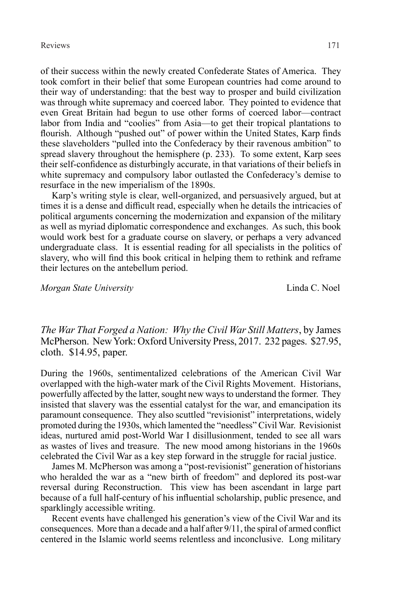of their success within the newly created Confederate States of America. They took comfort in their belief that some European countries had come around to their way of understanding: that the best way to prosper and build civilization was through white supremacy and coerced labor. They pointed to evidence that even Great Britain had begun to use other forms of coerced labor—contract labor from India and "coolies" from Asia—to get their tropical plantations to flourish. Although "pushed out" of power within the United States, Karp finds these slaveholders "pulled into the Confederacy by their ravenous ambition" to spread slavery throughout the hemisphere (p. 233). To some extent, Karp sees their self-confidence as disturbingly accurate, in that variations of their beliefs in white supremacy and compulsory labor outlasted the Confederacy's demise to resurface in the new imperialism of the 1890s.

Karp's writing style is clear, well-organized, and persuasively argued, but at times it is a dense and difficult read, especially when he details the intricacies of political arguments concerning the modernization and expansion of the military as well as myriad diplomatic correspondence and exchanges. As such, this book would work best for a graduate course on slavery, or perhaps a very advanced undergraduate class. It is essential reading for all specialists in the politics of slavery, who will find this book critical in helping them to rethink and reframe their lectures on the antebellum period.

*Morgan State University* Linda C. Noel

*The War That Forged a Nation: Why the Civil War Still Matters*, by James McPherson. New York: Oxford University Press, 2017. 232 pages. \$27.95, cloth. \$14.95, paper.

During the 1960s, sentimentalized celebrations of the American Civil War overlapped with the high-water mark of the Civil Rights Movement. Historians, powerfully affected by the latter, sought new ways to understand the former. They insisted that slavery was the essential catalyst for the war, and emancipation its paramount consequence. They also scuttled "revisionist" interpretations, widely promoted during the 1930s, which lamented the "needless" Civil War. Revisionist ideas, nurtured amid post-World War I disillusionment, tended to see all wars as wastes of lives and treasure. The new mood among historians in the 1960s celebrated the Civil War as a key step forward in the struggle for racial justice.

James M. McPherson was among a "post-revisionist" generation of historians who heralded the war as a "new birth of freedom" and deplored its post-war reversal during Reconstruction. This view has been ascendant in large part because of a full half-century of his influential scholarship, public presence, and sparklingly accessible writing.

Recent events have challenged his generation's view of the Civil War and its consequences. More than a decade and a half after 9/11, the spiral of armed conflict centered in the Islamic world seems relentless and inconclusive. Long military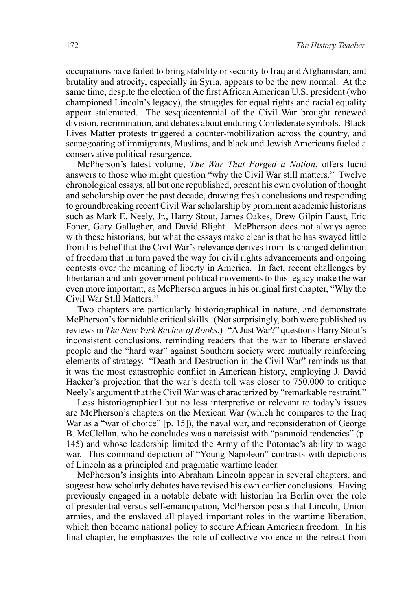occupations have failed to bring stability or security to Iraq and Afghanistan, and brutality and atrocity, especially in Syria, appears to be the new normal. At the same time, despite the election of the first African American U.S. president (who championed Lincoln's legacy), the struggles for equal rights and racial equality appear stalemated. The sesquicentennial of the Civil War brought renewed division, recrimination, and debates about enduring Confederate symbols. Black Lives Matter protests triggered a counter-mobilization across the country, and scapegoating of immigrants, Muslims, and black and Jewish Americans fueled a conservative political resurgence.

McPherson's latest volume, *The War That Forged a Nation*, offers lucid answers to those who might question "why the Civil War still matters." Twelve chronological essays, all but one republished, present his own evolution of thought and scholarship over the past decade, drawing fresh conclusions and responding to groundbreaking recent Civil War scholarship by prominent academic historians such as Mark E. Neely, Jr., Harry Stout, James Oakes, Drew Gilpin Faust, Eric Foner, Gary Gallagher, and David Blight. McPherson does not always agree with these historians, but what the essays make clear is that he has swayed little from his belief that the Civil War's relevance derives from its changed definition of freedom that in turn paved the way for civil rights advancements and ongoing contests over the meaning of liberty in America. In fact, recent challenges by libertarian and anti-government political movements to this legacy make the war even more important, as McPherson argues in his original first chapter, "Why the Civil War Still Matters."

Two chapters are particularly historiographical in nature, and demonstrate McPherson's formidable critical skills. (Not surprisingly, both were published as reviews in *The New York Review of Books*.) "A Just War?" questions Harry Stout's inconsistent conclusions, reminding readers that the war to liberate enslaved people and the "hard war" against Southern society were mutually reinforcing elements of strategy. "Death and Destruction in the Civil War" reminds us that it was the most catastrophic conflict in American history, employing J. David Hacker's projection that the war's death toll was closer to 750,000 to critique Neely's argument that the Civil War was characterized by "remarkable restraint."

Less historiographical but no less interpretive or relevant to today's issues are McPherson's chapters on the Mexican War (which he compares to the Iraq War as a "war of choice" [p. 15]), the naval war, and reconsideration of George B. McClellan, who he concludes was a narcissist with "paranoid tendencies" (p. 145) and whose leadership limited the Army of the Potomac's ability to wage war. This command depiction of "Young Napoleon" contrasts with depictions of Lincoln as a principled and pragmatic wartime leader.

McPherson's insights into Abraham Lincoln appear in several chapters, and suggest how scholarly debates have revised his own earlier conclusions. Having previously engaged in a notable debate with historian Ira Berlin over the role of presidential versus self-emancipation, McPherson posits that Lincoln, Union armies, and the enslaved all played important roles in the wartime liberation, which then became national policy to secure African American freedom. In his final chapter, he emphasizes the role of collective violence in the retreat from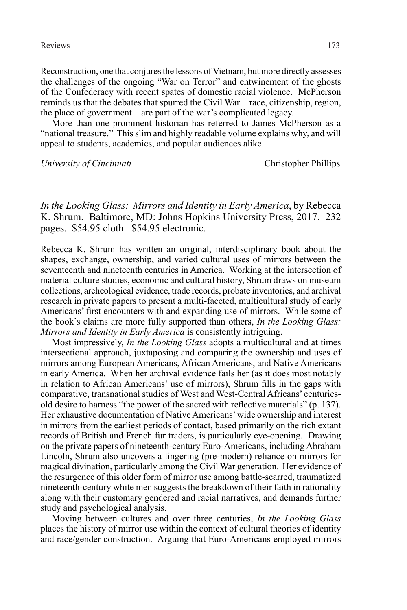Reconstruction, one that conjures the lessons of Vietnam, but more directly assesses the challenges of the ongoing "War on Terror" and entwinement of the ghosts of the Confederacy with recent spates of domestic racial violence. McPherson reminds us that the debates that spurred the Civil War—race, citizenship, region, the place of government—are part of the war's complicated legacy.

More than one prominent historian has referred to James McPherson as a "national treasure." This slim and highly readable volume explains why, and will appeal to students, academics, and popular audiences alike.

*University of Cincinnati* Christopher Phillips

*In the Looking Glass: Mirrors and Identity in Early America*, by Rebecca K. Shrum. Baltimore, MD: Johns Hopkins University Press, 2017. 232 pages. \$54.95 cloth. \$54.95 electronic.

Rebecca K. Shrum has written an original, interdisciplinary book about the shapes, exchange, ownership, and varied cultural uses of mirrors between the seventeenth and nineteenth centuries in America. Working at the intersection of material culture studies, economic and cultural history, Shrum draws on museum collections, archeological evidence, trade records, probate inventories, and archival research in private papers to present a multi-faceted, multicultural study of early Americans' first encounters with and expanding use of mirrors. While some of the book's claims are more fully supported than others, *In the Looking Glass: Mirrors and Identity in Early America* is consistently intriguing.

Most impressively, *In the Looking Glass* adopts a multicultural and at times intersectional approach, juxtaposing and comparing the ownership and uses of mirrors among European Americans, African Americans, and Native Americans in early America. When her archival evidence fails her (as it does most notably in relation to African Americans' use of mirrors), Shrum fills in the gaps with comparative, transnational studies of West and West-Central Africans' centuriesold desire to harness "the power of the sacred with reflective materials" (p. 137). Her exhaustive documentation of Native Americans' wide ownership and interest in mirrors from the earliest periods of contact, based primarily on the rich extant records of British and French fur traders, is particularly eye-opening. Drawing on the private papers of nineteenth-century Euro-Americans, including Abraham Lincoln, Shrum also uncovers a lingering (pre-modern) reliance on mirrors for magical divination, particularly among the Civil War generation. Her evidence of the resurgence of this older form of mirror use among battle-scarred, traumatized nineteenth-century white men suggests the breakdown of their faith in rationality along with their customary gendered and racial narratives, and demands further study and psychological analysis.

Moving between cultures and over three centuries, *In the Looking Glass* places the history of mirror use within the context of cultural theories of identity and race/gender construction. Arguing that Euro-Americans employed mirrors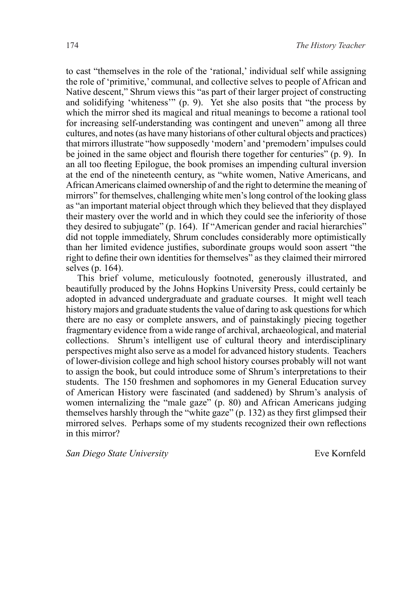to cast "themselves in the role of the 'rational,' individual self while assigning the role of 'primitive,' communal, and collective selves to people of African and Native descent," Shrum views this "as part of their larger project of constructing and solidifying 'whiteness'" (p. 9). Yet she also posits that "the process by which the mirror shed its magical and ritual meanings to become a rational tool for increasing self-understanding was contingent and uneven" among all three cultures, and notes (as have many historians of other cultural objects and practices) that mirrors illustrate "how supposedly 'modern' and 'premodern' impulses could be joined in the same object and flourish there together for centuries" (p. 9). In an all too fleeting Epilogue, the book promises an impending cultural inversion at the end of the nineteenth century, as "white women, Native Americans, and African Americans claimed ownership of and the right to determine the meaning of mirrors" for themselves, challenging white men's long control of the looking glass as "an important material object through which they believed that they displayed their mastery over the world and in which they could see the inferiority of those they desired to subjugate" (p. 164). If "American gender and racial hierarchies" did not topple immediately, Shrum concludes considerably more optimistically than her limited evidence justifies, subordinate groups would soon assert "the right to define their own identities for themselves" as they claimed their mirrored selves (p. 164).

This brief volume, meticulously footnoted, generously illustrated, and beautifully produced by the Johns Hopkins University Press, could certainly be adopted in advanced undergraduate and graduate courses. It might well teach history majors and graduate students the value of daring to ask questions for which there are no easy or complete answers, and of painstakingly piecing together fragmentary evidence from a wide range of archival, archaeological, and material collections. Shrum's intelligent use of cultural theory and interdisciplinary perspectives might also serve as a model for advanced history students. Teachers of lower-division college and high school history courses probably will not want to assign the book, but could introduce some of Shrum's interpretations to their students. The 150 freshmen and sophomores in my General Education survey of American History were fascinated (and saddened) by Shrum's analysis of women internalizing the "male gaze" (p. 80) and African Americans judging themselves harshly through the "white gaze" (p. 132) as they first glimpsed their mirrored selves. Perhaps some of my students recognized their own reflections in this mirror?

*San Diego State University* Eve Kornfeld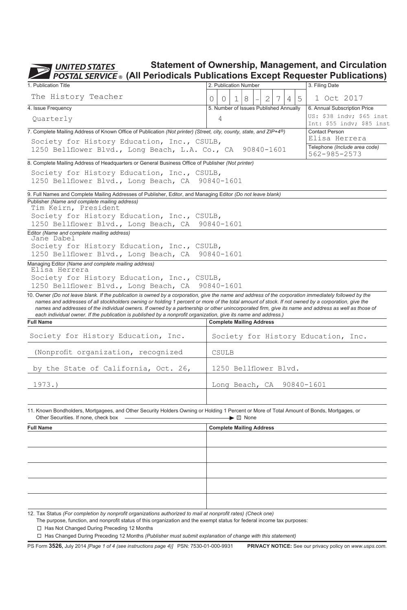**Statement of Ownership, Management, and Circulation UNITED STATES**  $\overline{C}$ 

| 1. Publication Title                                                                                                                                                                                                                                                                                                                                                                                                                                                                                                                                                                 |   |                |   | 2. Publication Number                  |   |   |        | 3. Filing Date                                        |
|--------------------------------------------------------------------------------------------------------------------------------------------------------------------------------------------------------------------------------------------------------------------------------------------------------------------------------------------------------------------------------------------------------------------------------------------------------------------------------------------------------------------------------------------------------------------------------------|---|----------------|---|----------------------------------------|---|---|--------|-------------------------------------------------------|
| The History Teacher                                                                                                                                                                                                                                                                                                                                                                                                                                                                                                                                                                  |   |                |   |                                        |   |   |        |                                                       |
|                                                                                                                                                                                                                                                                                                                                                                                                                                                                                                                                                                                      | 0 | 0              | 1 | 8                                      | 2 | 7 | 5<br>4 | 1 Oct 2017                                            |
| 4. Issue Frequency                                                                                                                                                                                                                                                                                                                                                                                                                                                                                                                                                                   |   |                |   | 5. Number of Issues Published Annually |   |   |        | 6. Annual Subscription Price                          |
| Ouarterly                                                                                                                                                                                                                                                                                                                                                                                                                                                                                                                                                                            |   | $\overline{4}$ |   |                                        |   |   |        | US: \$38 indv; \$65 inst<br>Int: \$55 indv; \$85 inst |
| 7. Complete Mailing Address of Known Office of Publication (Not printer) (Street, city, county, state, and ZIP+4 <sup>®</sup> )                                                                                                                                                                                                                                                                                                                                                                                                                                                      |   |                |   |                                        |   |   |        | Contact Person                                        |
| Society for History Education, Inc., CSULB,                                                                                                                                                                                                                                                                                                                                                                                                                                                                                                                                          |   |                |   |                                        |   |   |        | Elisa Herrera                                         |
| 1250 Bellflower Blvd., Long Beach, L.A. Co., CA                                                                                                                                                                                                                                                                                                                                                                                                                                                                                                                                      |   |                |   | 90840-1601                             |   |   |        | Telephone (Include area code)<br>562-985-2573         |
| 8. Complete Mailing Address of Headquarters or General Business Office of Publisher (Not printer)                                                                                                                                                                                                                                                                                                                                                                                                                                                                                    |   |                |   |                                        |   |   |        |                                                       |
| Society for History Education, Inc., CSULB,                                                                                                                                                                                                                                                                                                                                                                                                                                                                                                                                          |   |                |   |                                        |   |   |        |                                                       |
| 1250 Bellflower Blvd., Long Beach, CA 90840-1601                                                                                                                                                                                                                                                                                                                                                                                                                                                                                                                                     |   |                |   |                                        |   |   |        |                                                       |
| 9. Full Names and Complete Mailing Addresses of Publisher, Editor, and Managing Editor (Do not leave blank)                                                                                                                                                                                                                                                                                                                                                                                                                                                                          |   |                |   |                                        |   |   |        |                                                       |
| Publisher (Name and complete mailing address)                                                                                                                                                                                                                                                                                                                                                                                                                                                                                                                                        |   |                |   |                                        |   |   |        |                                                       |
| Tim Keirn, President                                                                                                                                                                                                                                                                                                                                                                                                                                                                                                                                                                 |   |                |   |                                        |   |   |        |                                                       |
| Society for History Education, Inc., CSULB,                                                                                                                                                                                                                                                                                                                                                                                                                                                                                                                                          |   |                |   |                                        |   |   |        |                                                       |
| 1250 Bellflower Blvd., Long Beach, CA                                                                                                                                                                                                                                                                                                                                                                                                                                                                                                                                                |   | 90840-1601     |   |                                        |   |   |        |                                                       |
| Editor (Name and complete mailing address)<br>Jane Dabel                                                                                                                                                                                                                                                                                                                                                                                                                                                                                                                             |   |                |   |                                        |   |   |        |                                                       |
| Society for History Education, Inc., CSULB,                                                                                                                                                                                                                                                                                                                                                                                                                                                                                                                                          |   |                |   |                                        |   |   |        |                                                       |
| 1250 Bellflower Blvd., Long Beach, CA                                                                                                                                                                                                                                                                                                                                                                                                                                                                                                                                                |   | 90840-1601     |   |                                        |   |   |        |                                                       |
| Managing Editor (Name and complete mailing address)<br>Elisa Herrera                                                                                                                                                                                                                                                                                                                                                                                                                                                                                                                 |   |                |   |                                        |   |   |        |                                                       |
| Society for History Education, Inc., CSULB,                                                                                                                                                                                                                                                                                                                                                                                                                                                                                                                                          |   |                |   |                                        |   |   |        |                                                       |
| 1250 Bellflower Blvd., Long Beach, CA 90840-1601                                                                                                                                                                                                                                                                                                                                                                                                                                                                                                                                     |   |                |   |                                        |   |   |        |                                                       |
| 10. Owner (Do not leave blank. If the publication is owned by a corporation, give the name and address of the corporation immediately followed by the<br>names and addresses of all stockholders owning or holding 1 percent or more of the total amount of stock. If not owned by a corporation, give the<br>names and addresses of the individual owners. If owned by a partnership or other unincorporated firm, give its name and address as well as those of<br>each individual owner. If the publication is published by a nonprofit organization, give its name and address.) |   |                |   |                                        |   |   |        |                                                       |
| <b>Full Name</b>                                                                                                                                                                                                                                                                                                                                                                                                                                                                                                                                                                     |   |                |   |                                        |   |   |        |                                                       |
|                                                                                                                                                                                                                                                                                                                                                                                                                                                                                                                                                                                      |   |                |   | <b>Complete Mailing Address</b>        |   |   |        |                                                       |
| Society for History Education, Inc.                                                                                                                                                                                                                                                                                                                                                                                                                                                                                                                                                  |   |                |   |                                        |   |   |        | Society for History Education, Inc.                   |
| (Nonprofit organization, recognized                                                                                                                                                                                                                                                                                                                                                                                                                                                                                                                                                  |   | CSULB          |   |                                        |   |   |        |                                                       |
| by the State of California, Oct. 26,                                                                                                                                                                                                                                                                                                                                                                                                                                                                                                                                                 |   |                |   | 1250 Bellflower Blvd.                  |   |   |        |                                                       |
| 1973.                                                                                                                                                                                                                                                                                                                                                                                                                                                                                                                                                                                |   |                |   | Long Beach, CA                         |   |   |        | 90840-1601                                            |
|                                                                                                                                                                                                                                                                                                                                                                                                                                                                                                                                                                                      |   |                |   |                                        |   |   |        |                                                       |
| 11. Known Bondholders, Mortgagees, and Other Security Holders Owning or Holding 1 Percent or More of Total Amount of Bonds, Mortgages, or<br>Other Securities. If none, check box                                                                                                                                                                                                                                                                                                                                                                                                    |   |                |   | $\blacktriangleright \boxtimes$ None   |   |   |        |                                                       |
| <b>Full Name</b>                                                                                                                                                                                                                                                                                                                                                                                                                                                                                                                                                                     |   |                |   | <b>Complete Mailing Address</b>        |   |   |        |                                                       |
|                                                                                                                                                                                                                                                                                                                                                                                                                                                                                                                                                                                      |   |                |   |                                        |   |   |        |                                                       |
|                                                                                                                                                                                                                                                                                                                                                                                                                                                                                                                                                                                      |   |                |   |                                        |   |   |        |                                                       |

12.  Tax Status *(For completion by nonprofit organizations authorized to mail at nonprofit rates) (Check one)*

The purpose, function, and nonprofit status of this organization and the exempt status for federal income tax purposes:

□ Has Not Changed During Preceding 12 Months

Has Changed During Preceding 12 Months *(Publisher must submit explanation of change with this statement)*

PS Form **3526,** July 2014 *[Page 1 of 4 (see instructions page 4)]* PSN: 7530-01-000-9931 **PRIVACY NOTICE:** See our privacy policy on *www.usps.com.*